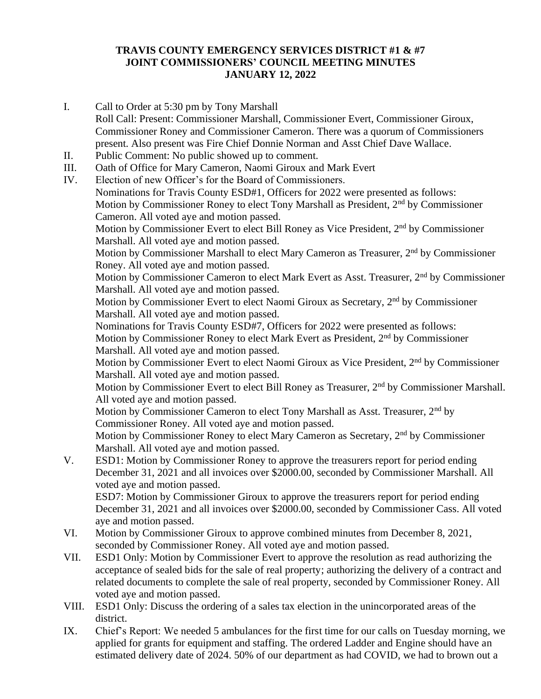## **TRAVIS COUNTY EMERGENCY SERVICES DISTRICT #1 & #7 JOINT COMMISSIONERS' COUNCIL MEETING MINUTES JANUARY 12, 2022**

- I. Call to Order at 5:30 pm by Tony Marshall Roll Call: Present: Commissioner Marshall, Commissioner Evert, Commissioner Giroux, Commissioner Roney and Commissioner Cameron. There was a quorum of Commissioners present. Also present was Fire Chief Donnie Norman and Asst Chief Dave Wallace. II. Public Comment: No public showed up to comment. III. Oath of Office for Mary Cameron, Naomi Giroux and Mark Evert IV. Election of new Officer's for the Board of Commissioners. Nominations for Travis County ESD#1, Officers for 2022 were presented as follows: Motion by Commissioner Roney to elect Tony Marshall as President, 2<sup>nd</sup> by Commissioner Cameron. All voted aye and motion passed. Motion by Commissioner Evert to elect Bill Roney as Vice President, 2<sup>nd</sup> by Commissioner Marshall. All voted aye and motion passed. Motion by Commissioner Marshall to elect Mary Cameron as Treasurer, 2<sup>nd</sup> by Commissioner Roney. All voted aye and motion passed. Motion by Commissioner Cameron to elect Mark Evert as Asst. Treasurer, 2<sup>nd</sup> by Commissioner Marshall. All voted aye and motion passed. Motion by Commissioner Evert to elect Naomi Giroux as Secretary, 2nd by Commissioner Marshall. All voted aye and motion passed. Nominations for Travis County ESD#7, Officers for 2022 were presented as follows: Motion by Commissioner Roney to elect Mark Evert as President, 2<sup>nd</sup> by Commissioner Marshall. All voted aye and motion passed. Motion by Commissioner Evert to elect Naomi Giroux as Vice President, 2nd by Commissioner Marshall. All voted aye and motion passed. Motion by Commissioner Evert to elect Bill Roney as Treasurer, 2<sup>nd</sup> by Commissioner Marshall. All voted aye and motion passed. Motion by Commissioner Cameron to elect Tony Marshall as Asst. Treasurer, 2<sup>nd</sup> by Commissioner Roney. All voted aye and motion passed. Motion by Commissioner Roney to elect Mary Cameron as Secretary, 2<sup>nd</sup> by Commissioner Marshall. All voted aye and motion passed. V. ESD1: Motion by Commissioner Roney to approve the treasurers report for period ending December 31, 2021 and all invoices over \$2000.00, seconded by Commissioner Marshall. All voted aye and motion passed. ESD7: Motion by Commissioner Giroux to approve the treasurers report for period ending December 31, 2021 and all invoices over \$2000.00, seconded by Commissioner Cass. All voted aye and motion passed. VI. Motion by Commissioner Giroux to approve combined minutes from December 8, 2021,
- seconded by Commissioner Roney. All voted aye and motion passed. VII. ESD1 Only: Motion by Commissioner Evert to approve the resolution as read authorizing the acceptance of sealed bids for the sale of real property; authorizing the delivery of a contract and related documents to complete the sale of real property, seconded by Commissioner Roney. All voted aye and motion passed.
- VIII. ESD1 Only: Discuss the ordering of a sales tax election in the unincorporated areas of the district.
- IX. Chief's Report: We needed 5 ambulances for the first time for our calls on Tuesday morning, we applied for grants for equipment and staffing. The ordered Ladder and Engine should have an estimated delivery date of 2024. 50% of our department as had COVID, we had to brown out a